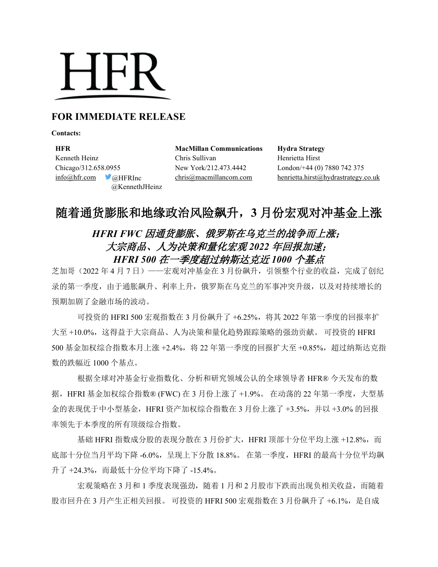# **HFR**

# **FOR IMMEDIATE RELEASE**

**Contacts:**

**HFR MacMillan Communications Hydra Strategy** Kenneth Heinz Chris Sullivan Henrietta Hirst Chicago/312.658.0955 New York/212.473.4442 London/+44 (0) 7880 742 375 @KennethJHeinz

 $inf_{\Omega}$ hfr.com @HFRInc [chris@macmillancom.com](mailto:chris@macmillancom.com) henrietta.hirst@hydrastrategy.co.uk

# 随着通货膨胀和地缘政治风险飙升,**3** 月份宏观对冲基金上涨

# *HFRI FWC* 因通货膨胀、俄罗斯在乌克兰的战争而上涨; 大宗商品、人为决策和量化宏观 *2022* 年回报加速; *HFRI 500* 在一季度超过纳斯达克近 *1000* 个基点

芝加哥(2022 年 4 月 7 日)——宏观对冲基金在 3 月份飙升,引领整个行业的收益,完成了创纪 录的第一季度,由于通胀飙升、利率上升,俄罗斯在乌克兰的军事冲突升级,以及对持续增长的 预期加剧了金融市场的波动。

可投资的 HFRI 500 宏观指数在 3 月份飙升了 +6.25%,将其 2022 年第一季度的回报率扩 大至 +10.0%,这得益于大宗商品、人为决策和量化趋势跟踪策略的强劲贡献。 可投资的 HFRI 500 基金加权综合指数本月上涨 +2.4%,将 22 年第一季度的回报扩大至 +0.85%, 超过纳斯达克指 数的跌幅近 1000 个基点。

根据全球对冲基金行业指数化、分析和研究领域公认的全球领导者 HFR® 今天发布的数 据, HFRI 基金加权综合指数® (FWC) 在 3 月份上涨了 +1.9%。 在动荡的 22 年第一季度, 大型基 金的表现优于中小型基金, HFRI 资产加权综合指数在 3 月份上涨了 +3.5%, 并以 +3.0% 的回报 率领先于本季度的所有顶级综合指数。

基础 HFRI 指数成分股的表现分散在 3 月份扩大, HFRI 顶部十分位平均上涨 +12.8%, 而 底部十分位当月平均下降 -6.0%,呈现上下分散 18.8%。 在第一季度,HFRI 的最高十分位平均飙 升了 +24.3%,而最低十分位平均下降了 -15.4%。

宏观策略在 3 月和 1 季度表现强劲, 随着 1 月和 2 月股市下跌而出现负相关收益, 而随着 股市回升在 3 月产生正相关回报。 可投资的 HFRI 500 宏观指数在 3 月份飙升了 +6.1%, 是自成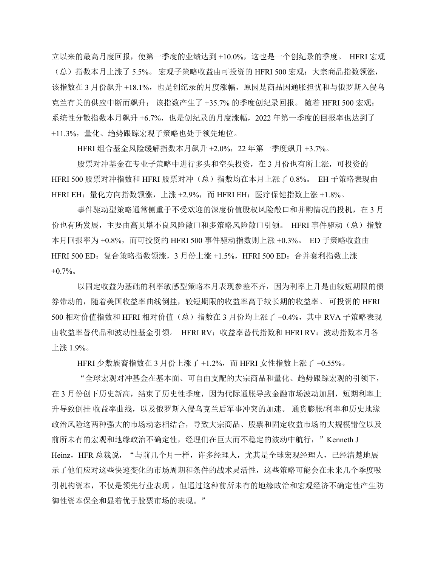立以来的最高月度回报,使第一季度的业绩达到 +10.0%,这也是一个创纪录的季度。 HFRI 宏观 (总)指数本月上涨了 5.5%。 宏观子策略收益由可投资的 HFRI 500 宏观:大宗商品指数领涨, 该指数在 3 月份飙升 +18.1%, 也是创纪录的月度涨幅, 原因是商品因通胀担忧和与俄罗斯入侵乌 克兰有关的供应中断而飙升; 该指数产生了 +35.7% 的季度创纪录回报。 随着 HFRI 500 宏观: 系统性分散指数本月飙升 +6.7%,也是创纪录的月度涨幅,2022 年第一季度的回报率也达到了 +11.3%,量化、趋势跟踪宏观子策略也处于领先地位。

HFRI 组合基金风险缓解指数本月飙升 +2.0%,22 年第一季度飙升 +3.7%。

股票对冲基金在专业子策略中进行多头和空头投资,在 3 月份也有所上涨,可投资的 HFRI 500 股票对冲指数和 HFRI 股票对冲(总)指数均在本月上涨了 0.8%。 EH 子策略表现由 HFRI EH:量化方向指数领涨,上涨 +2.9%,而 HFRI EH:医疗保健指数上涨 +1.8%。

事件驱动型策略通常侧重于不受欢迎的深度价值股权风险敞口和并购情况的投机,在 3 月 份也有所发展,主要由高贝塔不良风险敞口和多策略风险敞口引领。 HFRI 事件驱动(总)指数 本月回报率为 +0.8%,而可投资的 HFRI 500 事件驱动指数则上涨 +0.3%。 ED 子策略收益由 HFRI 500 ED: 复合策略指数领涨, 3 月份上涨 +1.5%, HFRI 500 ED: 合并套利指数上涨  $+0.7\%$ 

以固定收益为基础的利率敏感型策略本月表现参差不齐,因为利率上升是由较短期限的债 券带动的,随着美国收益率曲线倒挂,较短期限的收益率高于较长期的收益率。 可投资的 HFRI 500 相对价值指数和 HFRI 相对价值(总)指数在 3 月份均上涨了 +0.4%,其中 RVA 子策略表现 由收益率替代品和波动性基金引领。 HFRI RV:收益率替代指数和 HFRI RV:波动指数本月各 上涨 1.9%。

HFRI 少数族裔指数在 3 月份上涨了 +1.2%,而 HFRI 女性指数上涨了 +0.55%。

"全球宏观对冲基金在基本面、可自由支配的大宗商品和量化、趋势跟踪宏观的引领下, 在 3 月份创下历史新高,结束了历史性季度,因为代际通胀导致金融市场波动加剧,短期利率上 升导致倒挂 收益率曲线,以及俄罗斯入侵乌克兰后军事冲突的加速。 通货膨胀/利率和历史地缘 政治风险这两种强大的市场动态相结合,导致大宗商品、股票和固定收益市场的大规模错位以及 前所未有的宏观和地缘政治不确定性,经理们在巨大而不稳定的波动中航行,"Kenneth J Heinz,HFR 总裁说,"与前几个月一样,许多经理人,尤其是全球宏观经理人,已经清楚地展 示了他们应对这些快速变化的市场周期和条件的战术灵活性,这些策略可能会在未来几个季度吸 引机构资本,不仅是领先行业表现,但通过这种前所未有的地缘政治和宏观经济不确定性产生防 御性资本保全和显着优于股票市场的表现。"